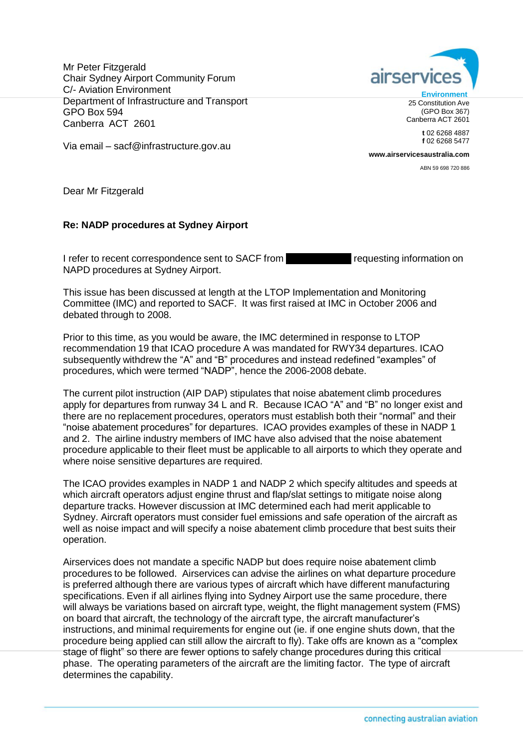Mr Peter Fitzgerald Chair Sydney Airport Community Forum C/- Aviation Environment Department of Infrastructure and Transport GPO Box 594 Canberra ACT 2601



**t** 02 6268 4887 **f** 02 6268 5477

**[www.airservicesaustralia.com](http://www.airservicesaustralia.com/)**

ABN 59 698 720 886

Via email – [sacf@infrastructure.gov.au](mailto:sacf@infrastructure.gov.au)

Dear Mr Fitzgerald

## **Re: NADP procedures at Sydney Airport**

I refer to recent correspondence sent to SACF from Tequesting information on NAPD procedures at Sydney Airport.

This issue has been discussed at length at the LTOP Implementation and Monitoring Committee (IMC) and reported to SACF. It was first raised at IMC in October 2006 and debated through to 2008.

Prior to this time, as you would be aware, the IMC determined in response to LTOP recommendation 19 that ICAO procedure A was mandated for RWY34 departures. ICAO subsequently withdrew the "A" and "B" procedures and instead redefined "examples" of procedures, which were termed "NADP", hence the 2006-2008 debate.

The current pilot instruction (AIP DAP) stipulates that noise abatement climb procedures apply for departures from runway 34 L and R. Because ICAO "A" and "B" no longer exist and there are no replacement procedures, operators must establish both their "normal" and their "noise abatement procedures" for departures. ICAO provides examples of these in NADP 1 and 2. The airline industry members of IMC have also advised that the noise abatement procedure applicable to their fleet must be applicable to all airports to which they operate and where noise sensitive departures are required.

The ICAO provides examples in NADP 1 and NADP 2 which specify altitudes and speeds at which aircraft operators adjust engine thrust and flap/slat settings to mitigate noise along departure tracks. However discussion at IMC determined each had merit applicable to Sydney. Aircraft operators must consider fuel emissions and safe operation of the aircraft as well as noise impact and will specify a noise abatement climb procedure that best suits their operation.

Airservices does not mandate a specific NADP but does require noise abatement climb procedures to be followed. Airservices can advise the airlines on what departure procedure is preferred although there are various types of aircraft which have different manufacturing specifications. Even if all airlines flying into Sydney Airport use the same procedure, there will always be variations based on aircraft type, weight, the flight management system (FMS) on board that aircraft, the technology of the aircraft type, the aircraft manufacturer's instructions, and minimal requirements for engine out (ie. if one engine shuts down, that the procedure being applied can still allow the aircraft to fly). Take offs are known as a "complex stage of flight" so there are fewer options to safely change procedures during this critical phase. The operating parameters of the aircraft are the limiting factor. The type of aircraft determines the capability.